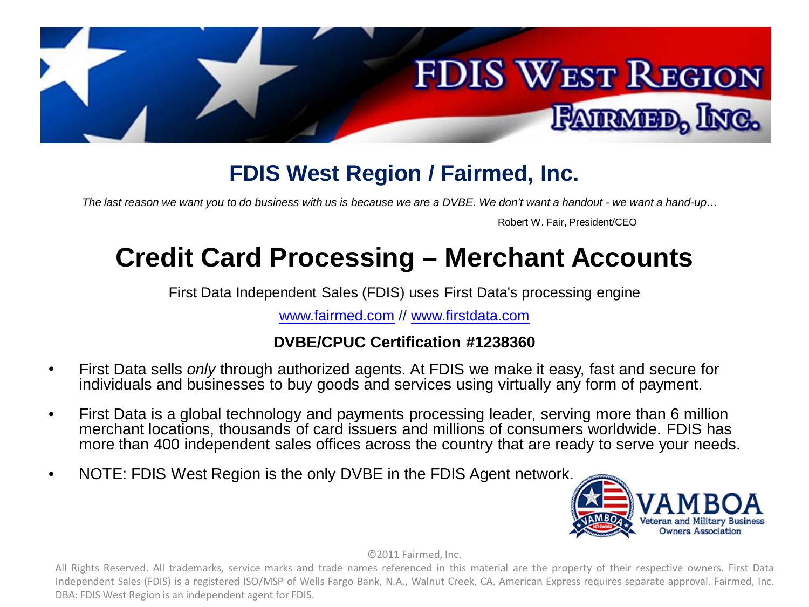

### **FDIS West Region / Fairmed, Inc.**

*The last reason we want you to do business with us is because we are a DVBE. We don't want a handout - we want a hand-up…*

Robert W. Fair, President/CEO

# **Credit Card Processing – Merchant Accounts**

First Data Independent Sales (FDIS) uses First Data's processing engine

[www.fairmed.com](http://www.fairmed.com/) // [www.firstdata.com](http://www.firstdata.com/)

### **DVBE/CPUC Certification #1238360**

- First Data sells *only* through authorized agents. At FDIS we make it easy, fast and secure for individuals and businesses to buy goods and services using virtually any form of payment.
- First Data is a global technology and payments processing leader, serving more than 6 million merchant locations, thousands of card issuers and millions of consumers worldwide. FDIS has more than 400 independent sales offices across the country that are ready to serve your needs.
- NOTE: FDIS West Region is the only DVBE in the FDIS Agent network.



©2011 Fairmed, Inc.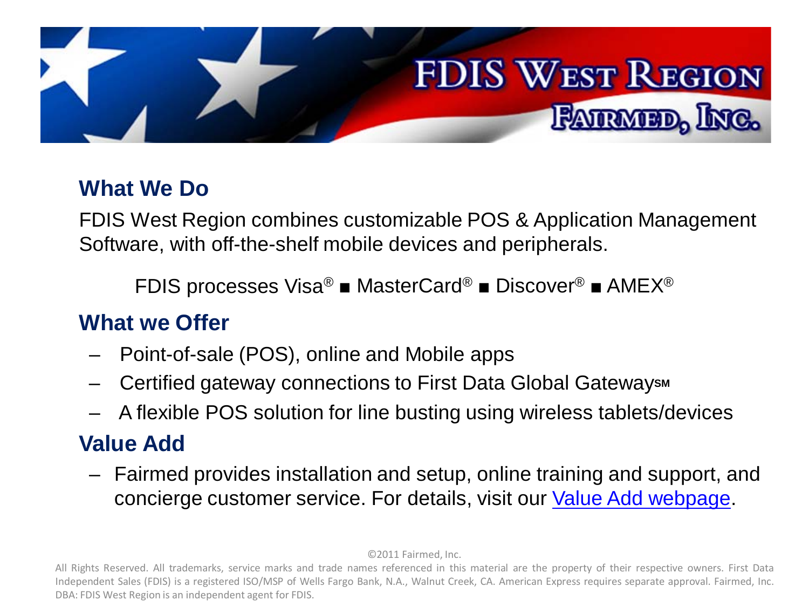

# **What We Do**

FDIS West Region combines customizable POS & Application Management Software, with off-the-shelf mobile devices and peripherals.

FDIS processes Visa® ■ MasterCard® ■ Discover® ■ AMEX®

# **What we Offer**

- Point-of-sale (POS), online and Mobile apps
- **Certified gateway connections to First Data Global Gateways M**
- A flexible POS solution for line busting using wireless tablets/devices

# **Value Add**

– Fairmed provides installation and setup, online training and support, and concierge customer service. For details, visit our [Value Add webpage](http://fairmed.com/value_add.html).

©2011 Fairmed, Inc.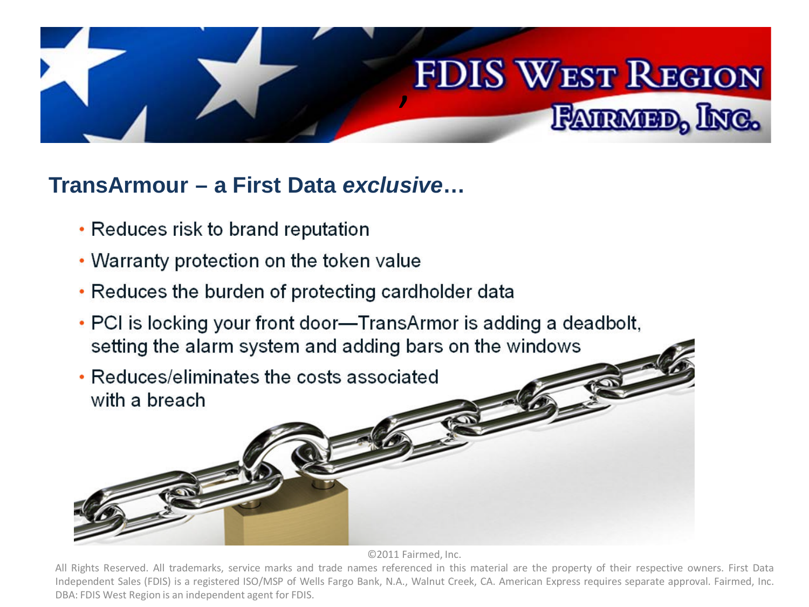

### **TransArmour – a First Data** *exclusive***…**

- Reduces risk to brand reputation
- Warranty protection on the token value
- Reduces the burden of protecting cardholder data
- PCI is locking your front door—TransArmor is adding a deadbolt, setting the alarm system and adding bars on the windows
- Reduces/eliminates the costs associated with a breach

©2011 Fairmed, Inc.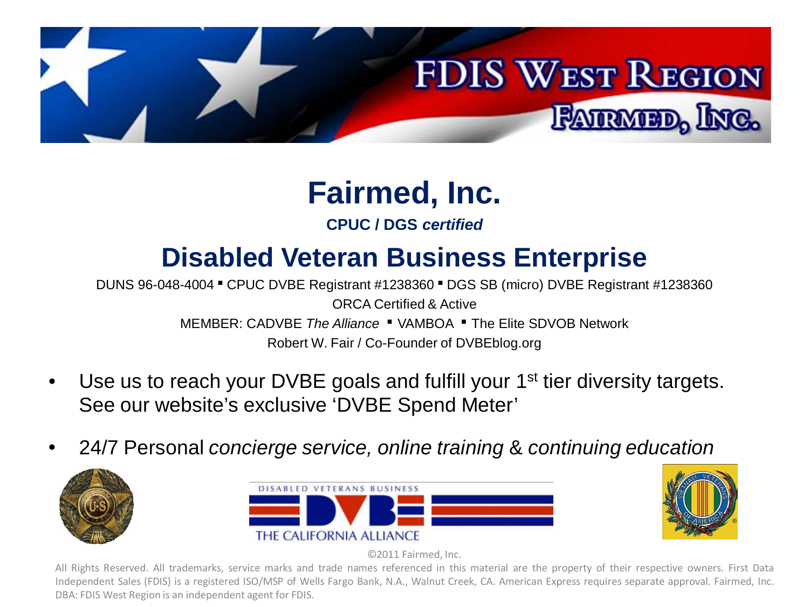

# **Fairmed, Inc.**

### **CPUC / DGS** *certified*

# **Disabled Veteran Business Enterprise**

DUNS 96-048-4004 ■ CPUC DVBE Registrant #1238360 ■ DGS SB (micro) DVBE Registrant #1238360 ORCA Certified & Active MEMBER: CADVBE *The Alliance* ■ VAMBOA ■ The Elite SDVOB Network Robert W. Fair / Co-Founder of DVBEblog.org

- Use us to reach your DVBE goals and fulfill your 1<sup>st</sup> tier diversity targets. See our website's exclusive 'DVBE Spend Meter'
- 24/7 Personal *concierge service, online training* & *continuing education*







©2011 Fairmed, Inc.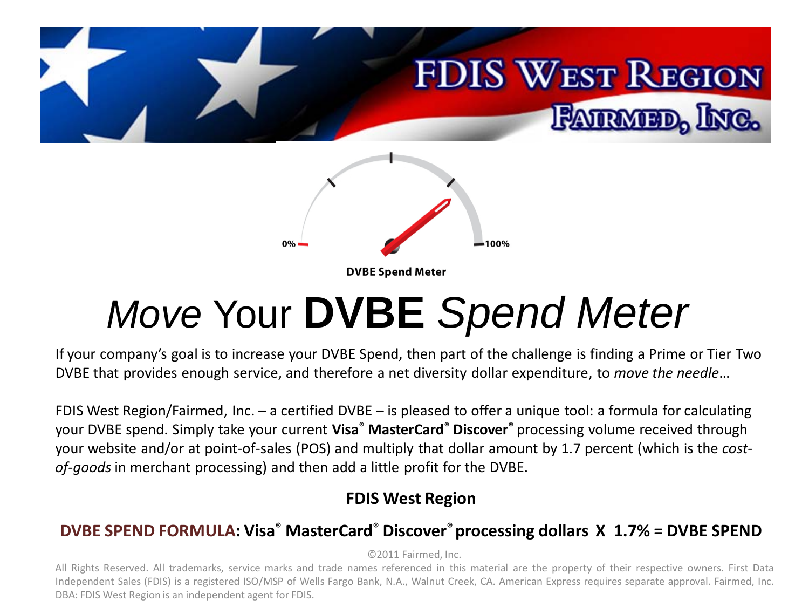

# *Move* Your **DVBE** *Spend Meter*

If your company's goal is to increase your DVBE Spend, then part of the challenge is finding a Prime or Tier Two DVBE that provides enough service, and therefore a net diversity dollar expenditure, to *move the needle*…

FDIS West Region/Fairmed, Inc. – a certified DVBE – is pleased to offer a unique tool: a formula for calculating your DVBE spend. Simply take your current **Visa® MasterCard® Discover®** processing volume received through your website and/or at point-of-sales (POS) and multiply that dollar amount by 1.7 percent (which is the *costof-goods* in merchant processing) and then add a little profit for the DVBE.

### **FDIS West Region**

### **DVBE SPEND FORMULA: Visa® MasterCard® Discover® processing dollars X 1.7% = DVBE SPEND**

©2011 Fairmed, Inc.